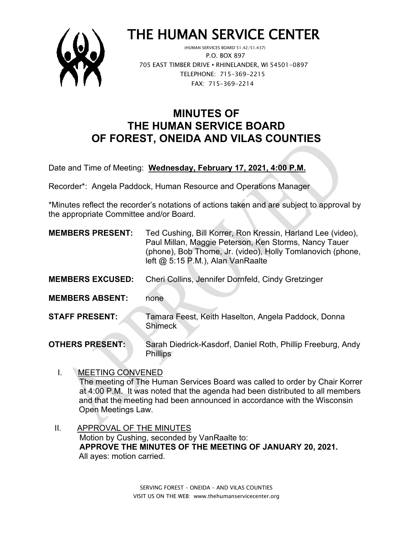

# THE HUMAN SERVICE CENTER

 P.O. BOX 897 705 EAST TIMBER DRIVE **•** RHINELANDER, WI 54501-0897 TELEPHONE: 715-369-2215 FAX: 715-369-2214

# **MINUTES OF THE HUMAN SERVICE BOARD OF FOREST, ONEIDA AND VILAS COUNTIES**

Date and Time of Meeting: **Wednesday, February 17, 2021, 4:00 P.M.**

Recorder\*: Angela Paddock, Human Resource and Operations Manager

\*Minutes reflect the recorder's notations of actions taken and are subject to approval by the appropriate Committee and/or Board.

| <b>MEMBERS PRESENT:</b> | Ted Cushing, Bill Korrer, Ron Kressin, Harland Lee (video),<br>Paul Millan, Maggie Peterson, Ken Storms, Nancy Tauer<br>(phone), Bob Thome, Jr. (video), Holly Tomlanovich (phone,<br>left @ 5:15 P.M.), Alan VanRaalte |
|-------------------------|-------------------------------------------------------------------------------------------------------------------------------------------------------------------------------------------------------------------------|
| <b>MEMBERS EXCUSED:</b> | Cheri Collins, Jennifer Dornfeld, Cindy Gretzinger                                                                                                                                                                      |
| <b>MEMBERS ABSENT:</b>  | none                                                                                                                                                                                                                    |
| <b>STAFF PRESENT:</b>   | Tamara Feest, Keith Haselton, Angela Paddock, Donna<br><b>Shimeck</b>                                                                                                                                                   |
| <b>OTHERS PRESENT:</b>  | Sarah Diedrick-Kasdorf, Daniel Roth, Phillip Freeburg, Andy<br><b>Phillips</b>                                                                                                                                          |

- I. MEETING CONVENED The meeting of The Human Services Board was called to order by Chair Korrer at 4:00 P.M. It was noted that the agenda had been distributed to all members and that the meeting had been announced in accordance with the Wisconsin Open Meetings Law.
- II. APPROVAL OF THE MINUTES Motion by Cushing, seconded by VanRaalte to: **APPROVE THE MINUTES OF THE MEETING OF JANUARY 20, 2021.** All ayes: motion carried.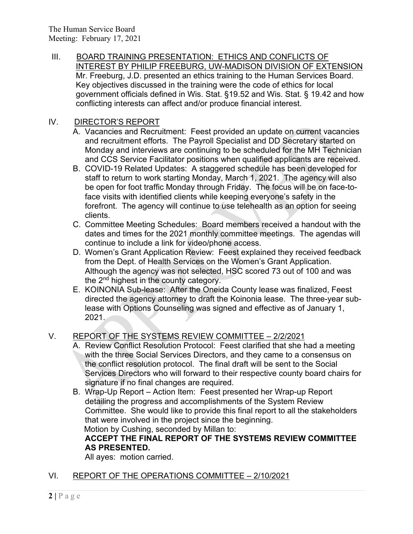III. BOARD TRAINING PRESENTATION: ETHICS AND CONFLICTS OF INTEREST BY PHILIP FREEBURG, UW-MADISON DIVISION OF EXTENSION Mr. Freeburg, J.D. presented an ethics training to the Human Services Board. Key objectives discussed in the training were the code of ethics for local government officials defined in Wis. Stat. §19.52 and Wis. Stat. § 19.42 and how conflicting interests can affect and/or produce financial interest.

#### IV. DIRECTOR'S REPORT

- A. Vacancies and Recruitment: Feest provided an update on current vacancies and recruitment efforts. The Payroll Specialist and DD Secretary started on Monday and interviews are continuing to be scheduled for the MH Technician and CCS Service Facilitator positions when qualified applicants are received.
- B. COVID-19 Related Updates: A staggered schedule has been developed for staff to return to work starting Monday, March 1, 2021. The agency will also be open for foot traffic Monday through Friday. The focus will be on face-toface visits with identified clients while keeping everyone's safety in the forefront. The agency will continue to use telehealth as an option for seeing clients.
- C. Committee Meeting Schedules: Board members received a handout with the dates and times for the 2021 monthly committee meetings. The agendas will continue to include a link for video/phone access.
- D. Women's Grant Application Review: Feest explained they received feedback from the Dept. of Health Services on the Women's Grant Application. Although the agency was not selected, HSC scored 73 out of 100 and was the 2<sup>nd</sup> highest in the county category.
- E. KOINONIA Sub-lease: After the Oneida County lease was finalized, Feest directed the agency attorney to draft the Koinonia lease. The three-year sublease with Options Counseling was signed and effective as of January 1, 2021.

#### V. REPORT OF THE SYSTEMS REVIEW COMMITTEE – 2/2/2021

- A. Review Conflict Resolution Protocol: Feest clarified that she had a meeting with the three Social Services Directors, and they came to a consensus on the conflict resolution protocol. The final draft will be sent to the Social Services Directors who will forward to their respective county board chairs for signature if no final changes are required.
- B. Wrap-Up Report Action Item: Feest presented her Wrap-up Report detailing the progress and accomplishments of the System Review Committee. She would like to provide this final report to all the stakeholders that were involved in the project since the beginning. Motion by Cushing, seconded by Millan to:

#### **ACCEPT THE FINAL REPORT OF THE SYSTEMS REVIEW COMMITTEE AS PRESENTED.**

All ayes: motion carried.

#### VI. REPORT OF THE OPERATIONS COMMITTEE – 2/10/2021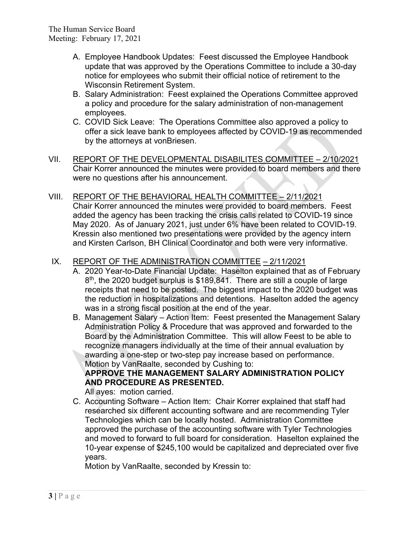- A. Employee Handbook Updates: Feest discussed the Employee Handbook update that was approved by the Operations Committee to include a 30-day notice for employees who submit their official notice of retirement to the Wisconsin Retirement System.
- B. Salary Administration: Feest explained the Operations Committee approved a policy and procedure for the salary administration of non-management employees.
- C. COVID Sick Leave: The Operations Committee also approved a policy to offer a sick leave bank to employees affected by COVID-19 as recommended by the attorneys at vonBriesen.
- VII. REPORT OF THE DEVELOPMENTAL DISABILITES COMMITTEE 2/10/2021 Chair Korrer announced the minutes were provided to board members and there were no questions after his announcement.
- VIII. REPORT OF THE BEHAVIORAL HEALTH COMMITTEE 2/11/2021 Chair Korrer announced the minutes were provided to board members. Feest added the agency has been tracking the crisis calls related to COVID-19 since May 2020. As of January 2021, just under 6% have been related to COVID-19. Kressin also mentioned two presentations were provided by the agency intern and Kirsten Carlson, BH Clinical Coordinator and both were very informative.

#### IX. REPORT OF THE ADMINISTRATION COMMITTEE – 2/11/2021

- A. 2020 Year-to-Date Financial Update: Haselton explained that as of February  $8<sup>th</sup>$ , the 2020 budget surplus is \$189,841. There are still a couple of large receipts that need to be posted. The biggest impact to the 2020 budget was the reduction in hospitalizations and detentions. Haselton added the agency was in a strong fiscal position at the end of the year.
- B. Management Salary Action Item: Feest presented the Management Salary Administration Policy & Procedure that was approved and forwarded to the Board by the Administration Committee. This will allow Feest to be able to recognize managers individually at the time of their annual evaluation by awarding a one-step or two-step pay increase based on performance. Motion by VanRaalte, seconded by Cushing to:

### **APPROVE THE MANAGEMENT SALARY ADMINISTRATION POLICY AND PROCEDURE AS PRESENTED.**

All ayes: motion carried.

C. Accounting Software – Action Item: Chair Korrer explained that staff had researched six different accounting software and are recommending Tyler Technologies which can be locally hosted. Administration Committee approved the purchase of the accounting software with Tyler Technologies and moved to forward to full board for consideration. Haselton explained the 10-year expense of \$245,100 would be capitalized and depreciated over five years.

Motion by VanRaalte, seconded by Kressin to: